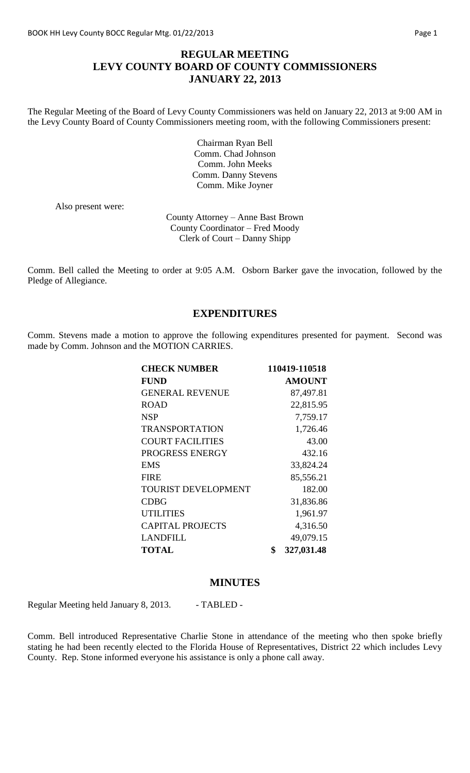#### **REGULAR MEETING LEVY COUNTY BOARD OF COUNTY COMMISSIONERS JANUARY 22, 2013**

The Regular Meeting of the Board of Levy County Commissioners was held on January 22, 2013 at 9:00 AM in the Levy County Board of County Commissioners meeting room, with the following Commissioners present:

> Chairman Ryan Bell Comm. Chad Johnson Comm. John Meeks Comm. Danny Stevens Comm. Mike Joyner

Also present were:

County Attorney – Anne Bast Brown County Coordinator – Fred Moody Clerk of Court – Danny Shipp

Comm. Bell called the Meeting to order at 9:05 A.M. Osborn Barker gave the invocation, followed by the Pledge of Allegiance.

#### **EXPENDITURES**

Comm. Stevens made a motion to approve the following expenditures presented for payment. Second was made by Comm. Johnson and the MOTION CARRIES.

| <b>CHECK NUMBER</b>        | 110419-110518    |
|----------------------------|------------------|
| <b>FUND</b>                | <b>AMOUNT</b>    |
| <b>GENERAL REVENUE</b>     | 87,497.81        |
| <b>ROAD</b>                | 22,815.95        |
| <b>NSP</b>                 | 7,759.17         |
| <b>TRANSPORTATION</b>      | 1,726.46         |
| <b>COURT FACILITIES</b>    | 43.00            |
| PROGRESS ENERGY            | 432.16           |
| <b>EMS</b>                 | 33,824.24        |
| <b>FIRE</b>                | 85,556.21        |
| <b>TOURIST DEVELOPMENT</b> | 182.00           |
| <b>CDBG</b>                | 31,836.86        |
| <b>UTILITIES</b>           | 1,961.97         |
| <b>CAPITAL PROJECTS</b>    | 4,316.50         |
| <b>LANDFILL</b>            | 49,079.15        |
| <b>TOTAL</b>               | \$<br>327,031.48 |

#### **MINUTES**

Regular Meeting held January 8, 2013. - TABLED -

Comm. Bell introduced Representative Charlie Stone in attendance of the meeting who then spoke briefly stating he had been recently elected to the Florida House of Representatives, District 22 which includes Levy County. Rep. Stone informed everyone his assistance is only a phone call away.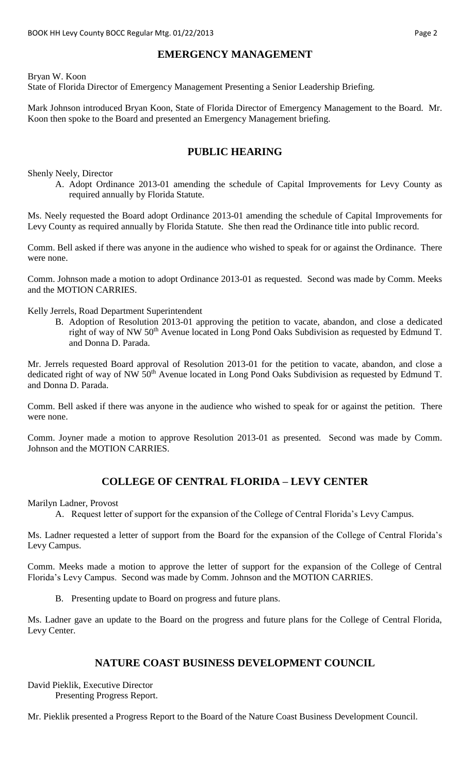#### **EMERGENCY MANAGEMENT**

Bryan W. Koon

State of Florida Director of Emergency Management Presenting a Senior Leadership Briefing.

Mark Johnson introduced Bryan Koon, State of Florida Director of Emergency Management to the Board. Mr. Koon then spoke to the Board and presented an Emergency Management briefing.

#### **PUBLIC HEARING**

Shenly Neely, Director

A. Adopt Ordinance 2013-01 amending the schedule of Capital Improvements for Levy County as required annually by Florida Statute.

Ms. Neely requested the Board adopt Ordinance 2013-01 amending the schedule of Capital Improvements for Levy County as required annually by Florida Statute. She then read the Ordinance title into public record.

Comm. Bell asked if there was anyone in the audience who wished to speak for or against the Ordinance. There were none.

Comm. Johnson made a motion to adopt Ordinance 2013-01 as requested. Second was made by Comm. Meeks and the MOTION CARRIES.

Kelly Jerrels, Road Department Superintendent

B. Adoption of Resolution 2013-01 approving the petition to vacate, abandon, and close a dedicated right of way of NW  $50<sup>th</sup>$  Avenue located in Long Pond Oaks Subdivision as requested by Edmund T. and Donna D. Parada.

Mr. Jerrels requested Board approval of Resolution 2013-01 for the petition to vacate, abandon, and close a dedicated right of way of NW 50<sup>th</sup> Avenue located in Long Pond Oaks Subdivision as requested by Edmund T. and Donna D. Parada.

Comm. Bell asked if there was anyone in the audience who wished to speak for or against the petition. There were none.

Comm. Joyner made a motion to approve Resolution 2013-01 as presented. Second was made by Comm. Johnson and the MOTION CARRIES.

# **COLLEGE OF CENTRAL FLORIDA – LEVY CENTER**

Marilyn Ladner, Provost

A. Request letter of support for the expansion of the College of Central Florida's Levy Campus.

Ms. Ladner requested a letter of support from the Board for the expansion of the College of Central Florida's Levy Campus.

Comm. Meeks made a motion to approve the letter of support for the expansion of the College of Central Florida's Levy Campus. Second was made by Comm. Johnson and the MOTION CARRIES.

B. Presenting update to Board on progress and future plans.

Ms. Ladner gave an update to the Board on the progress and future plans for the College of Central Florida, Levy Center.

#### **NATURE COAST BUSINESS DEVELOPMENT COUNCIL**

David Pieklik, Executive Director Presenting Progress Report.

Mr. Pieklik presented a Progress Report to the Board of the Nature Coast Business Development Council.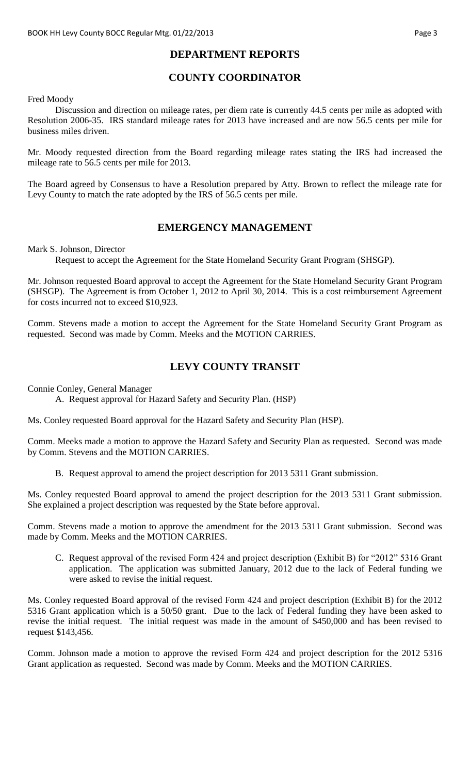### **DEPARTMENT REPORTS**

# **COUNTY COORDINATOR**

Fred Moody

Discussion and direction on mileage rates, per diem rate is currently 44.5 cents per mile as adopted with Resolution 2006-35. IRS standard mileage rates for 2013 have increased and are now 56.5 cents per mile for business miles driven.

Mr. Moody requested direction from the Board regarding mileage rates stating the IRS had increased the mileage rate to 56.5 cents per mile for 2013.

The Board agreed by Consensus to have a Resolution prepared by Atty. Brown to reflect the mileage rate for Levy County to match the rate adopted by the IRS of 56.5 cents per mile.

#### **EMERGENCY MANAGEMENT**

Mark S. Johnson, Director

Request to accept the Agreement for the State Homeland Security Grant Program (SHSGP).

Mr. Johnson requested Board approval to accept the Agreement for the State Homeland Security Grant Program (SHSGP). The Agreement is from October 1, 2012 to April 30, 2014. This is a cost reimbursement Agreement for costs incurred not to exceed \$10,923.

Comm. Stevens made a motion to accept the Agreement for the State Homeland Security Grant Program as requested. Second was made by Comm. Meeks and the MOTION CARRIES.

#### **LEVY COUNTY TRANSIT**

Connie Conley, General Manager

A. Request approval for Hazard Safety and Security Plan. (HSP)

Ms. Conley requested Board approval for the Hazard Safety and Security Plan (HSP).

Comm. Meeks made a motion to approve the Hazard Safety and Security Plan as requested. Second was made by Comm. Stevens and the MOTION CARRIES.

B. Request approval to amend the project description for 2013 5311 Grant submission.

Ms. Conley requested Board approval to amend the project description for the 2013 5311 Grant submission. She explained a project description was requested by the State before approval.

Comm. Stevens made a motion to approve the amendment for the 2013 5311 Grant submission. Second was made by Comm. Meeks and the MOTION CARRIES.

C. Request approval of the revised Form 424 and project description (Exhibit B) for "2012" 5316 Grant application. The application was submitted January, 2012 due to the lack of Federal funding we were asked to revise the initial request.

Ms. Conley requested Board approval of the revised Form 424 and project description (Exhibit B) for the 2012 5316 Grant application which is a 50/50 grant. Due to the lack of Federal funding they have been asked to revise the initial request. The initial request was made in the amount of \$450,000 and has been revised to request \$143,456.

Comm. Johnson made a motion to approve the revised Form 424 and project description for the 2012 5316 Grant application as requested. Second was made by Comm. Meeks and the MOTION CARRIES.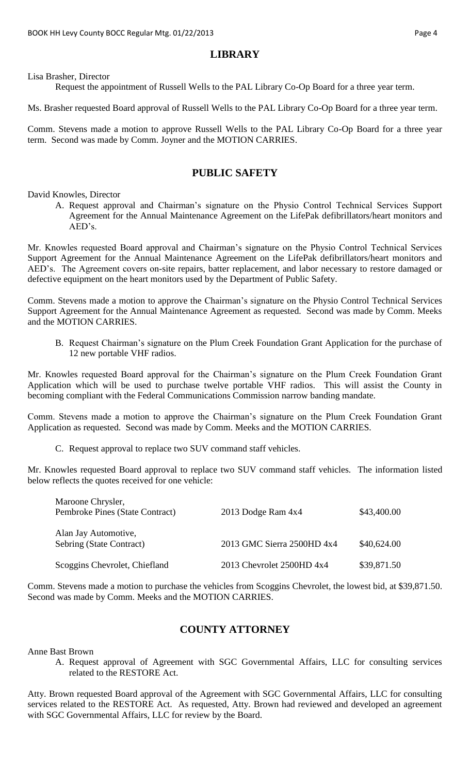# **LIBRARY**

Lisa Brasher, Director

Request the appointment of Russell Wells to the PAL Library Co-Op Board for a three year term.

Ms. Brasher requested Board approval of Russell Wells to the PAL Library Co-Op Board for a three year term.

Comm. Stevens made a motion to approve Russell Wells to the PAL Library Co-Op Board for a three year term. Second was made by Comm. Joyner and the MOTION CARRIES.

#### **PUBLIC SAFETY**

David Knowles, Director

A. Request approval and Chairman's signature on the Physio Control Technical Services Support Agreement for the Annual Maintenance Agreement on the LifePak defibrillators/heart monitors and AED's.

Mr. Knowles requested Board approval and Chairman's signature on the Physio Control Technical Services Support Agreement for the Annual Maintenance Agreement on the LifePak defibrillators/heart monitors and AED's. The Agreement covers on-site repairs, batter replacement, and labor necessary to restore damaged or defective equipment on the heart monitors used by the Department of Public Safety.

Comm. Stevens made a motion to approve the Chairman's signature on the Physio Control Technical Services Support Agreement for the Annual Maintenance Agreement as requested. Second was made by Comm. Meeks and the MOTION CARRIES.

B. Request Chairman's signature on the Plum Creek Foundation Grant Application for the purchase of 12 new portable VHF radios.

Mr. Knowles requested Board approval for the Chairman's signature on the Plum Creek Foundation Grant Application which will be used to purchase twelve portable VHF radios. This will assist the County in becoming compliant with the Federal Communications Commission narrow banding mandate.

Comm. Stevens made a motion to approve the Chairman's signature on the Plum Creek Foundation Grant Application as requested. Second was made by Comm. Meeks and the MOTION CARRIES.

C. Request approval to replace two SUV command staff vehicles.

Mr. Knowles requested Board approval to replace two SUV command staff vehicles. The information listed below reflects the quotes received for one vehicle:

| Maroone Chrysler,<br>Pembroke Pines (State Contract) | 2013 Dodge Ram 4x4         | \$43,400.00 |
|------------------------------------------------------|----------------------------|-------------|
| Alan Jay Automotive,<br>Sebring (State Contract)     | 2013 GMC Sierra 2500HD 4x4 | \$40,624.00 |
| Scoggins Chevrolet, Chiefland                        | 2013 Chevrolet 2500HD 4x4  | \$39,871.50 |

Comm. Stevens made a motion to purchase the vehicles from Scoggins Chevrolet, the lowest bid, at \$39,871.50. Second was made by Comm. Meeks and the MOTION CARRIES.

#### **COUNTY ATTORNEY**

Anne Bast Brown

A. Request approval of Agreement with SGC Governmental Affairs, LLC for consulting services related to the RESTORE Act.

Atty. Brown requested Board approval of the Agreement with SGC Governmental Affairs, LLC for consulting services related to the RESTORE Act. As requested, Atty. Brown had reviewed and developed an agreement with SGC Governmental Affairs, LLC for review by the Board.